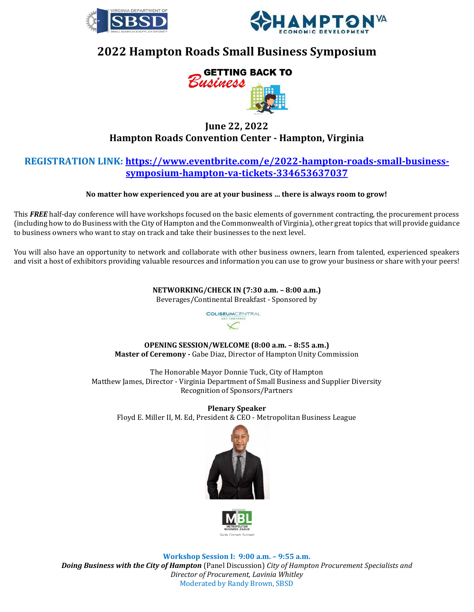



# **2022 Hampton Roads Small Business Symposium**



## **June 22, 2022 Hampton Roads Convention Center - Hampton, Virginia**

### **REGISTRATION LINK: [https://www.eventbrite.com/e/2022-hampton-roads-small-business](https://www.eventbrite.com/e/2022-hampton-roads-small-business-symposium-hampton-va-tickets-334653637037)[symposium-hampton-va-tickets-334653637037](https://www.eventbrite.com/e/2022-hampton-roads-small-business-symposium-hampton-va-tickets-334653637037)**

#### **No matter how experienced you are at your business … there is always room to grow!**

This *FREE* half-day conference will have workshops focused on the basic elements of government contracting, the procurement process (including how to do Business with the City of Hampton and the Commonwealth of Virginia), other great topics that will provide guidance to business owners who want to stay on track and take their businesses to the next level.

You will also have an opportunity to network and collaborate with other business owners, learn from talented, experienced speakers and visit a host of exhibitors providing valuable resources and information you can use to grow your business or share with your peers!

**NETWORKING/CHECK IN (7:30 a.m. – 8:00 a.m.)** 

Beverages/Continental Breakfast - Sponsored by



**OPENING SESSION/WELCOME (8:00 a.m. – 8:55 a.m.) Master of Ceremony -** Gabe Diaz, Director of Hampton Unity Commission

The Honorable Mayor Donnie Tuck, City of Hampton Matthew James, Director - Virginia Department of Small Business and Supplier Diversity Recognition of Sponsors/Partners

**Plenary Speaker**  Floyd E. Miller II, M. Ed, President & CEO - Metropolitan Business League





**Workshop Session I: 9:00 a.m. – 9:55 a.m.**  *Doing Business with the City of Hampton* (Panel Discussion) *City of Hampton Procurement Specialists and Director of Procurement, Lavinia Whitley* Moderated by Randy Brown, SBSD